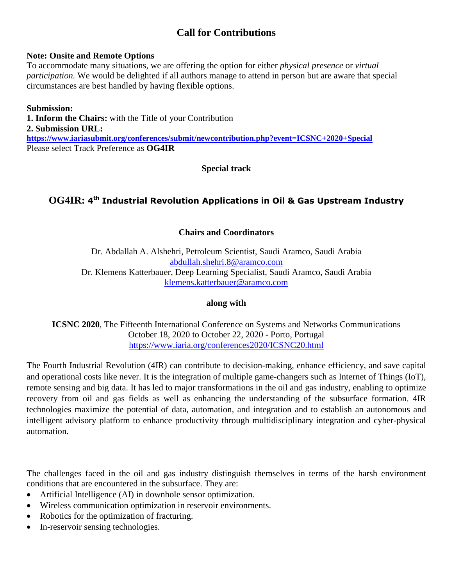# **Call for Contributions**

#### **Note: Onsite and Remote Options**

To accommodate many situations, we are offering the option for either *physical presence* or *virtual participation.* We would be delighted if all authors manage to attend in person but are aware that special circumstances are best handled by having flexible options.

**Submission: 1. Inform the Chairs:** with the Title of your Contribution **2. Submission URL: <https://www.iariasubmit.org/conferences/submit/newcontribution.php?event=ICSNC+2020+Special>** Please select Track Preference as **OG4IR**

**Special track**

## **OG4IR: 4 th Industrial Revolution Applications in Oil & Gas Upstream Industry**

**Chairs and Coordinators**

Dr. Abdallah A. Alshehri, Petroleum Scientist, Saudi Aramco, Saudi Arabia [abdullah.shehri.8@aramco.com](mailto:abdullah.shehri.8@aramco.com) Dr. Klemens Katterbauer, Deep Learning Specialist, Saudi Aramco, Saudi Arabia [klemens.katterbauer@aramco.com](mailto:klemens.katterbauer@aramco.com)

## **along with**

**ICSNC 2020**, The Fifteenth International Conference on Systems and Networks Communications October 18, 2020 to October 22, 2020 - Porto, Portugal <https://www.iaria.org/conferences2020/ICSNC20.html>

The Fourth Industrial Revolution (4IR) can contribute to decision-making, enhance efficiency, and save capital and operational costs like never. It is the integration of multiple game-changers such as Internet of Things (IoT), remote sensing and big data. It has led to major transformations in the oil and gas industry, enabling to optimize recovery from oil and gas fields as well as enhancing the understanding of the subsurface formation. 4IR technologies maximize the potential of data, automation, and integration and to establish an autonomous and intelligent advisory platform to enhance productivity through multidisciplinary integration and cyber-physical automation.

The challenges faced in the oil and gas industry distinguish themselves in terms of the harsh environment conditions that are encountered in the subsurface. They are:

- Artificial Intelligence (AI) in downhole sensor optimization.
- Wireless communication optimization in reservoir environments.
- Robotics for the optimization of fracturing.
- In-reservoir sensing technologies.